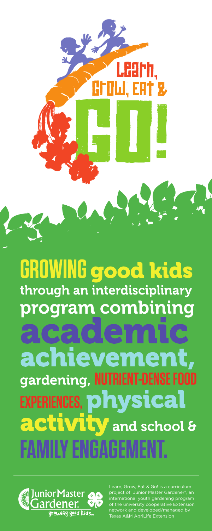**GROWING good kids** through an interdisciplinary program combining

 $:$  exploi achiev 78 gardening, NUTRIENT-DENSE FOOD **EXPERIENCES, physical activity** and school &



Learn, Grow, Eat & Go! is a curriculum project of Junior Master Gardener®, an international youth gardening program of the university cooperative Extension network and developed/managed by Texas A&M AgriLife Extension

累

Ħ